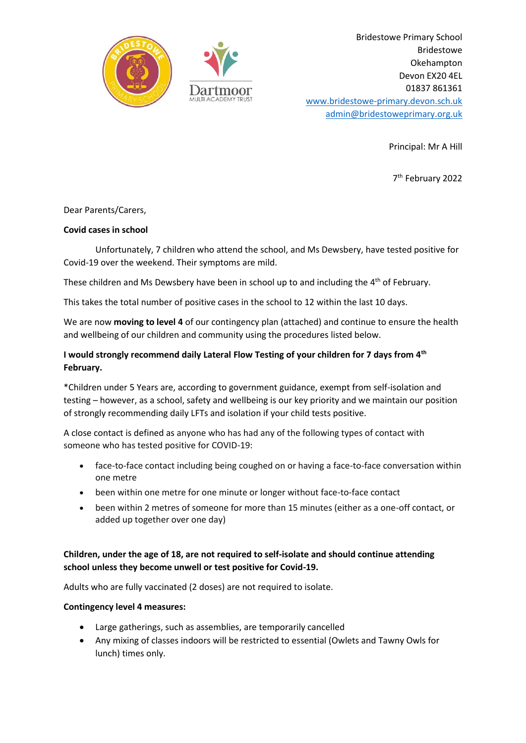

Bridestowe Primary School Bridestowe Okehampton Devon EX20 4EL 01837 861361 [www.bridestowe-primary.devon.sch.uk](http://www.bridestowe-primary.devon.sch.uk/) [admin@bridestoweprimary.org.uk](mailto:admin@bridestoweprimary.org.uk)

Principal: Mr A Hill

7 th February 2022

## Dear Parents/Carers,

## **Covid cases in school**

Unfortunately, 7 children who attend the school, and Ms Dewsbery, have tested positive for Covid-19 over the weekend. Their symptoms are mild.

These children and Ms Dewsbery have been in school up to and including the 4<sup>th</sup> of February.

This takes the total number of positive cases in the school to 12 within the last 10 days.

We are now **moving to level 4** of our contingency plan (attached) and continue to ensure the health and wellbeing of our children and community using the procedures listed below.

# **I would strongly recommend daily Lateral Flow Testing of your children for 7 days from 4th February.**

\*Children under 5 Years are, according to government guidance, exempt from self-isolation and testing – however, as a school, safety and wellbeing is our key priority and we maintain our position of strongly recommending daily LFTs and isolation if your child tests positive.

A close contact is defined as anyone who has had any of the following types of contact with someone who has tested positive for COVID-19:

- face-to-face contact including being coughed on or having a face-to-face conversation within one metre
- been within one metre for one minute or longer without face-to-face contact
- been within 2 metres of someone for more than 15 minutes (either as a one-off contact, or added up together over one day)

# **Children, under the age of 18, are not required to self-isolate and should continue attending school unless they become unwell or test positive for Covid-19.**

Adults who are fully vaccinated (2 doses) are not required to isolate.

## **Contingency level 4 measures:**

- Large gatherings, such as assemblies, are temporarily cancelled
- Any mixing of classes indoors will be restricted to essential (Owlets and Tawny Owls for lunch) times only.